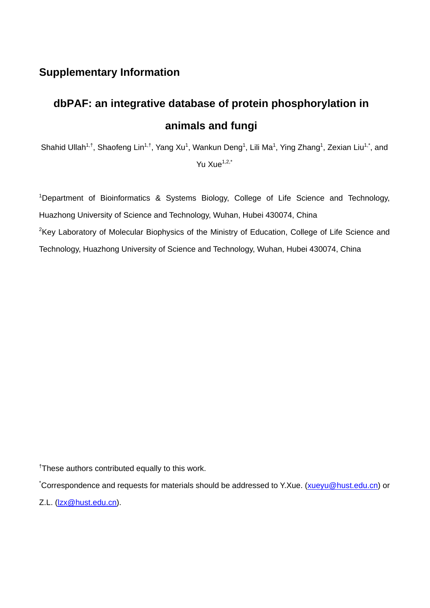## **Supplementary Information**

## **dbPAF: an integrative database of protein phosphorylation in animals and fungi**

Shahid Ullah<sup>1,†</sup>, Shaofeng Lin<sup>1,†</sup>, Yang Xu<sup>1</sup>, Wankun Deng<sup>1</sup>, Lili Ma<sup>1</sup>, Ying Zhang<sup>1</sup>, Zexian Liu<sup>1,\*</sup>, and Yu  $X_{\text{UP}}^{1,2,*}$ 

<sup>1</sup>Department of Bioinformatics & Systems Biology, College of Life Science and Technology, Huazhong University of Science and Technology, Wuhan, Hubei 430074, China <sup>2</sup>Key Laboratory of Molecular Biophysics of the Ministry of Education, College of Life Science and Technology, Huazhong University of Science and Technology, Wuhan, Hubei 430074, China

<sup>†</sup>These authors contributed equally to this work.

<sup>\*</sup>Correspondence and requests for materials should be addressed to Y.Xue. (xueyu@hust.edu.cn) or

Z.L. (lzx@hust.edu.cn).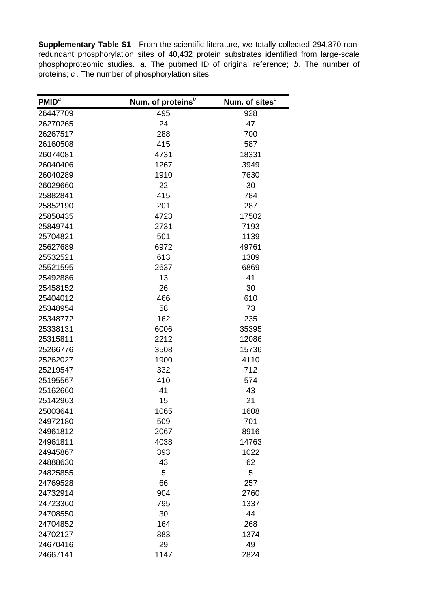**Supplementary Table S1** - From the scientific literature, we totally collected 294,370 nonredundant phosphorylation sites of 40,432 protein substrates identified from large-scale phosphoproteomic studies. *a*. The pubmed ID of original reference; *b*. The number of proteins; *c* . The number of phosphorylation sites.

| PMID <sup>a</sup> | Num. of proteins <sup>b</sup> | Num. of sites <sup>c</sup> |
|-------------------|-------------------------------|----------------------------|
| 26447709          | 495                           | 928                        |
| 26270265          | 24                            | 47                         |
| 26267517          | 288                           | 700                        |
| 26160508          | 415                           | 587                        |
| 26074081          | 4731                          | 18331                      |
| 26040406          | 1267                          | 3949                       |
| 26040289          | 1910                          | 7630                       |
| 26029660          | 22                            | 30                         |
| 25882841          | 415                           | 784                        |
| 25852190          | 201                           | 287                        |
| 25850435          | 4723                          | 17502                      |
| 25849741          | 2731                          | 7193                       |
| 25704821          | 501                           | 1139                       |
| 25627689          | 6972                          | 49761                      |
| 25532521          | 613                           | 1309                       |
| 25521595          | 2637                          | 6869                       |
| 25492886          | 13                            | 41                         |
| 25458152          | 26                            | 30                         |
| 25404012          | 466                           | 610                        |
| 25348954          | 58                            | 73                         |
| 25348772          | 162                           | 235                        |
| 25338131          | 6006                          | 35395                      |
| 25315811          | 2212                          | 12086                      |
| 25266776          | 3508                          | 15736                      |
| 25262027          | 1900                          | 4110                       |
| 25219547          | 332                           | 712                        |
| 25195567          | 410                           | 574                        |
| 25162660          | 41                            | 43                         |
| 25142963          | 15                            | 21                         |
| 25003641          | 1065                          | 1608                       |
| 24972180          | 509                           | 701                        |
| 24961812          | 2067                          | 8916                       |
| 24961811          | 4038                          | 14763                      |
| 24945867          | 393                           | 1022                       |
| 24888630          | 43                            | 62                         |
| 24825855          | 5                             | 5                          |
| 24769528          | 66                            | 257                        |
| 24732914          | 904                           | 2760                       |
| 24723360          | 795                           | 1337                       |
| 24708550          | 30                            | 44                         |
| 24704852          | 164                           | 268                        |
| 24702127          | 883                           | 1374                       |
| 24670416          | 29                            | 49                         |
| 24667141          | 1147                          | 2824                       |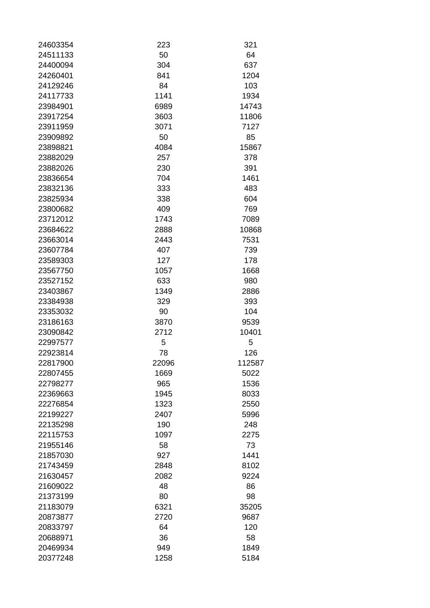| 24603354 | 223   | 321        |
|----------|-------|------------|
| 24511133 | 50    | 64         |
| 24400094 | 304   | 637        |
| 24260401 | 841   | 1204       |
| 24129246 | 84    | 103        |
| 24117733 | 1141  | 1934       |
| 23984901 | 6989  | 14743      |
| 23917254 | 3603  | 11806      |
| 23911959 | 3071  | 7127       |
| 23909892 | 50    | 85         |
| 23898821 | 4084  | 15867      |
| 23882029 | 257   | 378        |
| 23882026 | 230   | 391        |
| 23836654 | 704   | 1461       |
| 23832136 | 333   | 483        |
| 23825934 | 338   | 604        |
| 23800682 | 409   | 769        |
| 23712012 | 1743  | 7089       |
| 23684622 | 2888  | 10868      |
| 23663014 | 2443  | 7531       |
| 23607784 | 407   | 739        |
| 23589303 | 127   | 178        |
| 23567750 | 1057  | 1668       |
| 23527152 | 633   | 980        |
| 23403867 | 1349  | 2886       |
|          |       |            |
| 23384938 | 329   | 393<br>104 |
| 23353032 | 90    |            |
| 23186163 | 3870  | 9539       |
| 23090842 | 2712  | 10401      |
| 22997577 | 5     | 5          |
| 22923814 | 78    | 126        |
| 22817900 | 22096 | 112587     |
| 22807455 | 1669  | 5022       |
| 22798277 | 965   | 1536       |
| 22369663 | 1945  | 8033       |
| 22276854 | 1323  | 2550       |
| 22199227 | 2407  | 5996       |
| 22135298 | 190   | 248        |
| 22115753 | 1097  | 2275       |
| 21955146 | 58    | 73         |
| 21857030 | 927   | 1441       |
| 21743459 | 2848  | 8102       |
| 21630457 | 2082  | 9224       |
| 21609022 | 48    | 86         |
| 21373199 | 80    | 98         |
| 21183079 | 6321  | 35205      |
| 20873877 | 2720  | 9687       |
| 20833797 | 64    | 120        |
| 20688971 | 36    | 58         |
| 20469934 | 949   | 1849       |
| 20377248 | 1258  | 5184       |